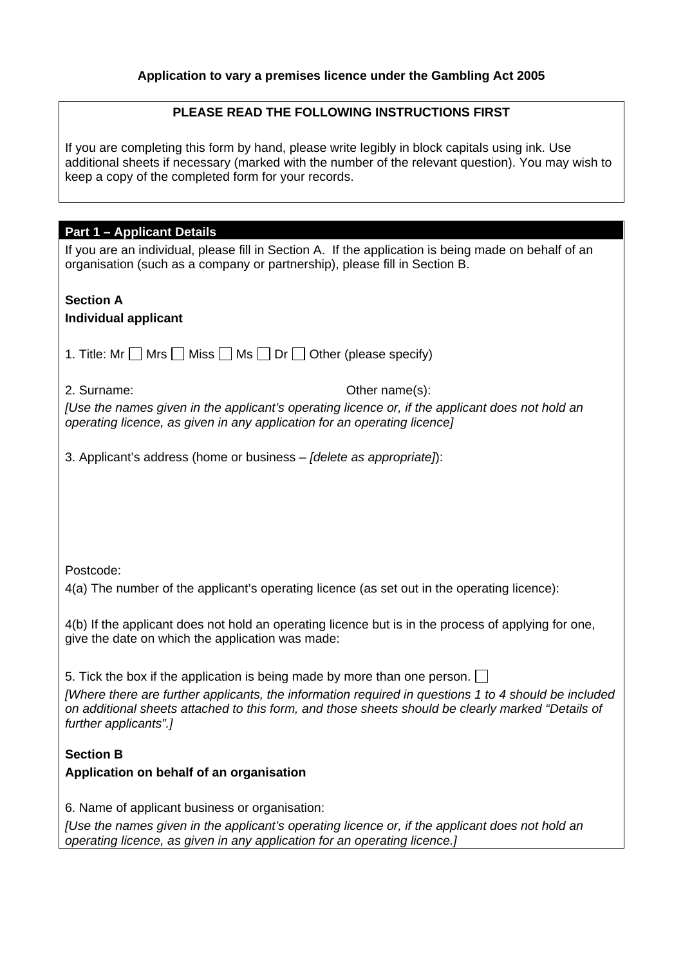## **Application to vary a premises licence under the Gambling Act 2005**

## **PLEASE READ THE FOLLOWING INSTRUCTIONS FIRST**

If you are completing this form by hand, please write legibly in block capitals using ink. Use additional sheets if necessary (marked with the number of the relevant question). You may wish to keep a copy of the completed form for your records.

| <b>Part 1 - Applicant Details</b>                                                                                                                                                                                                                                                                               |  |  |  |
|-----------------------------------------------------------------------------------------------------------------------------------------------------------------------------------------------------------------------------------------------------------------------------------------------------------------|--|--|--|
| If you are an individual, please fill in Section A. If the application is being made on behalf of an<br>organisation (such as a company or partnership), please fill in Section B.                                                                                                                              |  |  |  |
| <b>Section A</b><br><b>Individual applicant</b>                                                                                                                                                                                                                                                                 |  |  |  |
|                                                                                                                                                                                                                                                                                                                 |  |  |  |
| 1. Title: Mr $\Box$ Mrs $\Box$ Miss $\Box$ Ms $\Box$ Dr $\Box$ Other (please specify)                                                                                                                                                                                                                           |  |  |  |
| Other name(s):<br>2. Surname:                                                                                                                                                                                                                                                                                   |  |  |  |
| [Use the names given in the applicant's operating licence or, if the applicant does not hold an<br>operating licence, as given in any application for an operating licence]                                                                                                                                     |  |  |  |
| 3. Applicant's address (home or business – [delete as appropriate]):                                                                                                                                                                                                                                            |  |  |  |
|                                                                                                                                                                                                                                                                                                                 |  |  |  |
|                                                                                                                                                                                                                                                                                                                 |  |  |  |
|                                                                                                                                                                                                                                                                                                                 |  |  |  |
| Postcode:                                                                                                                                                                                                                                                                                                       |  |  |  |
| 4(a) The number of the applicant's operating licence (as set out in the operating licence):                                                                                                                                                                                                                     |  |  |  |
| 4(b) If the applicant does not hold an operating licence but is in the process of applying for one,<br>give the date on which the application was made:                                                                                                                                                         |  |  |  |
|                                                                                                                                                                                                                                                                                                                 |  |  |  |
| 5. Tick the box if the application is being made by more than one person.<br>[Where there are further applicants, the information required in questions 1 to 4 should be included<br>on additional sheets attached to this form, and those sheets should be clearly marked "Details of<br>further applicants".] |  |  |  |
|                                                                                                                                                                                                                                                                                                                 |  |  |  |
| <b>Section B</b>                                                                                                                                                                                                                                                                                                |  |  |  |
| Application on behalf of an organisation                                                                                                                                                                                                                                                                        |  |  |  |
|                                                                                                                                                                                                                                                                                                                 |  |  |  |
| 6. Name of applicant business or organisation:                                                                                                                                                                                                                                                                  |  |  |  |
| [Use the names given in the applicant's operating licence or, if the applicant does not hold an<br>operating licence, as given in any application for an operating licence.]                                                                                                                                    |  |  |  |
|                                                                                                                                                                                                                                                                                                                 |  |  |  |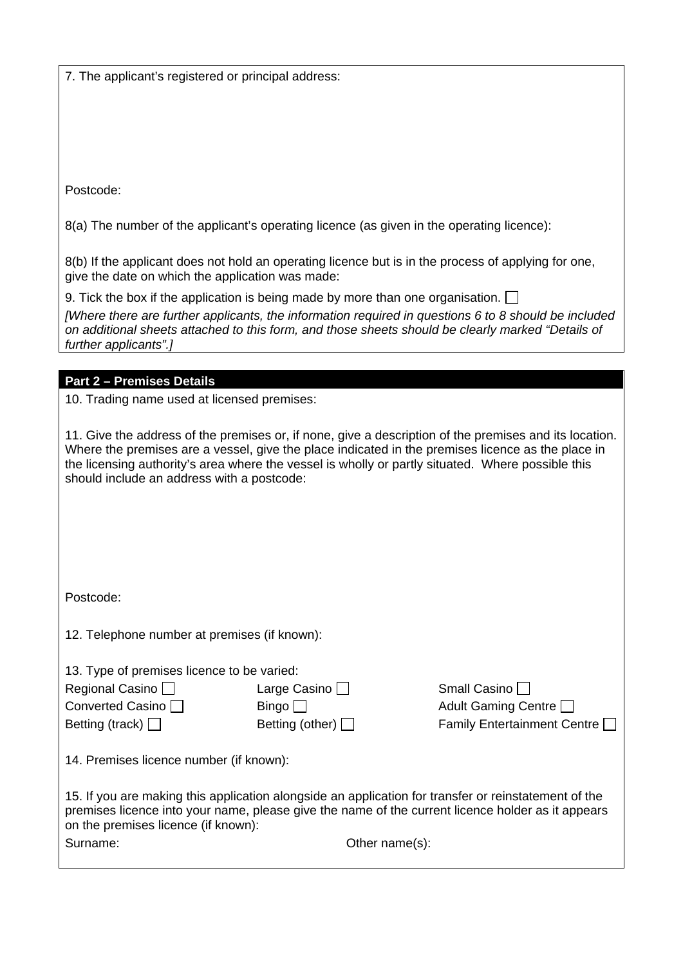7. The applicant's registered or principal address:

Postcode:

8(a) The number of the applicant's operating licence (as given in the operating licence):

8(b) If the applicant does not hold an operating licence but is in the process of applying for one, give the date on which the application was made:

9. Tick the box if the application is being made by more than one organisation.  $\Box$ 

*[Where there are further applicants, the information required in questions 6 to 8 should be included on additional sheets attached to this form, and those sheets should be clearly marked "Details of further applicants".]* 

**Part 2 – Premises Details** 

10. Trading name used at licensed premises:

11. Give the address of the premises or, if none, give a description of the premises and its location. Where the premises are a vessel, give the place indicated in the premises licence as the place in the licensing authority's area where the vessel is wholly or partly situated. Where possible this should include an address with a postcode:

Postcode:

12. Telephone number at premises (if known):

13. Type of premises licence to be varied:

| Regional Casino $\Box$ | Large Casino $\Box$    | Small Casino                       |
|------------------------|------------------------|------------------------------------|
| Converted Casino       | Bingo                  | Adult Gaming Centre                |
| Betting (track) $\Box$ | Betting (other) $\Box$ | <b>Family Entertainment Centre</b> |

14. Premises licence number (if known):

| 15. If you are making this application alongside an application for transfer or reinstatement of the<br>premises licence into your name, please give the name of the current licence holder as it appears |                    |
|-----------------------------------------------------------------------------------------------------------------------------------------------------------------------------------------------------------|--------------------|
| on the premises licence (if known):                                                                                                                                                                       |                    |
| Surname:                                                                                                                                                                                                  | Other name $(s)$ : |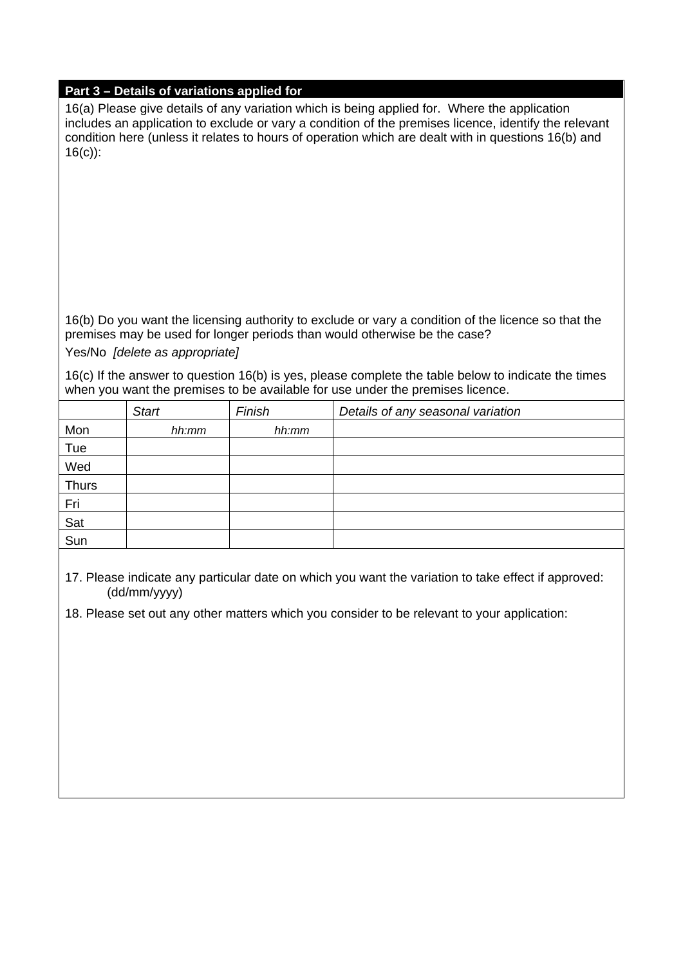## **Part 3 – Details of variations applied for**

16(a) Please give details of any variation which is being applied for. Where the application includes an application to exclude or vary a condition of the premises licence, identify the relevant condition here (unless it relates to hours of operation which are dealt with in questions 16(b) and 16(c)):

16(b) Do you want the licensing authority to exclude or vary a condition of the licence so that the premises may be used for longer periods than would otherwise be the case?

Yes/No *[delete as appropriate]*

16(c) If the answer to question 16(b) is yes, please complete the table below to indicate the times when you want the premises to be available for use under the premises licence.

|              | <b>Start</b> | Finish | Details of any seasonal variation |
|--------------|--------------|--------|-----------------------------------|
| Mon          | hh:mm        | hh:mm  |                                   |
| Tue          |              |        |                                   |
| Wed          |              |        |                                   |
| <b>Thurs</b> |              |        |                                   |
| Fri          |              |        |                                   |
| Sat          |              |        |                                   |
| Sun          |              |        |                                   |
|              |              |        |                                   |

17. Please indicate any particular date on which you want the variation to take effect if approved: (dd/mm/yyyy)

18. Please set out any other matters which you consider to be relevant to your application: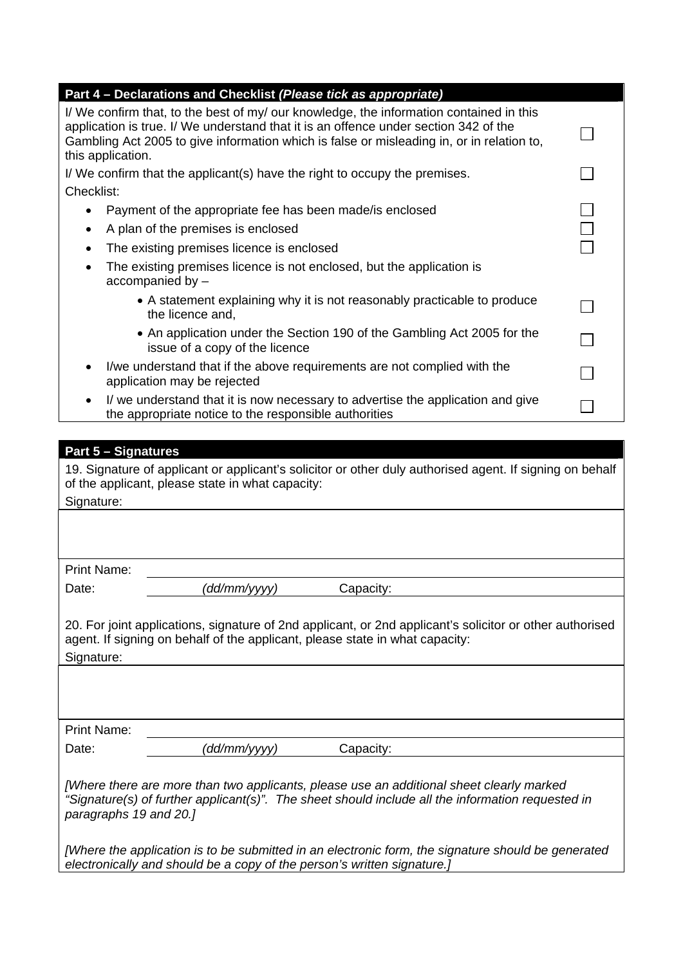| Part 4 – Declarations and Checklist (Please tick as appropriate)                                                                                                                                                                                                                                  |  |
|---------------------------------------------------------------------------------------------------------------------------------------------------------------------------------------------------------------------------------------------------------------------------------------------------|--|
| I/ We confirm that, to the best of my/ our knowledge, the information contained in this<br>application is true. I/ We understand that it is an offence under section 342 of the<br>Gambling Act 2005 to give information which is false or misleading in, or in relation to,<br>this application. |  |
| I/We confirm that the applicant(s) have the right to occupy the premises.                                                                                                                                                                                                                         |  |
| Checklist:                                                                                                                                                                                                                                                                                        |  |
| Payment of the appropriate fee has been made/ is enclosed<br>٠                                                                                                                                                                                                                                    |  |
| A plan of the premises is enclosed<br>٠                                                                                                                                                                                                                                                           |  |
| The existing premises licence is enclosed<br>$\bullet$                                                                                                                                                                                                                                            |  |
| The existing premises licence is not enclosed, but the application is<br>accompanied by -                                                                                                                                                                                                         |  |
| • A statement explaining why it is not reasonably practicable to produce<br>the licence and,                                                                                                                                                                                                      |  |
| • An application under the Section 190 of the Gambling Act 2005 for the<br>issue of a copy of the licence                                                                                                                                                                                         |  |
| I/we understand that if the above requirements are not complied with the<br>٠<br>application may be rejected                                                                                                                                                                                      |  |
| I/ we understand that it is now necessary to advertise the application and give<br>٠<br>the appropriate notice to the responsible authorities                                                                                                                                                     |  |

| <b>Part 5 - Signatures</b>                                                                               |  |  |  |
|----------------------------------------------------------------------------------------------------------|--|--|--|
| 19. Signature of applicant or applicant's solicitor or other duly authorised agent. If signing on behalf |  |  |  |
| of the applicant, please state in what capacity:                                                         |  |  |  |
| Signature:                                                                                               |  |  |  |
|                                                                                                          |  |  |  |
|                                                                                                          |  |  |  |
|                                                                                                          |  |  |  |
| <b>Print Name:</b>                                                                                       |  |  |  |
| dd/mm/yyyy)<br>Date:<br>Capacity:                                                                        |  |  |  |
|                                                                                                          |  |  |  |
| 20. For joint applications, signature of 2nd applicant, or 2nd applicant's solicitor or other authorised |  |  |  |
| agent. If signing on behalf of the applicant, please state in what capacity:                             |  |  |  |
| Signature:                                                                                               |  |  |  |
|                                                                                                          |  |  |  |
|                                                                                                          |  |  |  |
|                                                                                                          |  |  |  |
| <b>Print Name:</b>                                                                                       |  |  |  |
| (dd/mm/yyyy)<br>Capacity:<br>Date:                                                                       |  |  |  |
|                                                                                                          |  |  |  |
| [Where there are more than two applicants, please use an additional sheet clearly marked                 |  |  |  |
| "Signature(s) of further applicant(s)". The sheet should include all the information requested in        |  |  |  |
| paragraphs 19 and 20.]                                                                                   |  |  |  |
|                                                                                                          |  |  |  |
| [Where the application is to be submitted in an electronic form, the signature should be generated       |  |  |  |
| electronically and should be a copy of the person's written signature.]                                  |  |  |  |